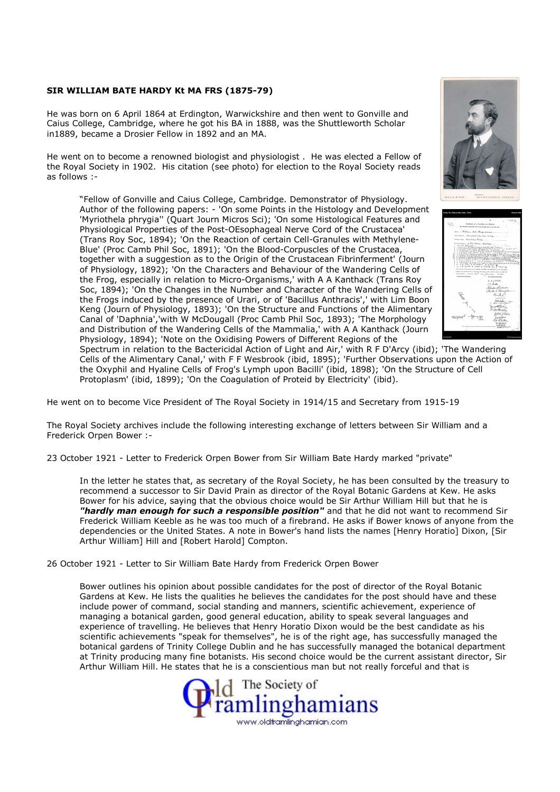## SIR WILLIAM BATE HARDY Kt MA FRS (1875-79)

He was born on 6 April 1864 at Erdington, Warwickshire and then went to Gonville and Caius College, Cambridge, where he got his BA in 1888, was the Shuttleworth Scholar in1889, became a Drosier Fellow in 1892 and an MA.

He went on to become a renowned biologist and physiologist . He was elected a Fellow of the Royal Society in 1902. His citation (see photo) for election to the Royal Society reads as follows :-

"Fellow of Gonville and Caius College, Cambridge. Demonstrator of Physiology. Author of the following papers: - 'On some Points in the Histology and Development 'Myriothela phrygia'' (Quart Journ Micros Sci); 'On some Histological Features and Physiological Properties of the Post-OEsophageal Nerve Cord of the Crustacea' (Trans Roy Soc, 1894); 'On the Reaction of certain Cell-Granules with Methylene-Blue' (Proc Camb Phil Soc, 1891); 'On the Blood-Corpuscles of the Crustacea, together with a suggestion as to the Origin of the Crustacean Fibrinferment' (Journ of Physiology, 1892); 'On the Characters and Behaviour of the Wandering Cells of the Frog, especially in relation to Micro-Organisms,' with A A Kanthack (Trans Roy Soc, 1894); 'On the Changes in the Number and Character of the Wandering Cells of the Frogs induced by the presence of Urari, or of 'Bacillus Anthracis',' with Lim Boon Keng (Journ of Physiology, 1893); 'On the Structure and Functions of the Alimentary Canal of 'Daphnia','with W McDougall (Proc Camb Phil Soc, 1893); 'The Morphology and Distribution of the Wandering Cells of the Mammalia,' with A A Kanthack (Journ Physiology, 1894); 'Note on the Oxidising Powers of Different Regions of the





Spectrum in relation to the Bactericidal Action of Light and Air,' with R F D'Arcy (ibid); 'The Wandering Cells of the Alimentary Canal,' with F F Wesbrook (ibid, 1895); 'Further Observations upon the Action of the Oxyphil and Hyaline Cells of Frog's Lymph upon Bacilli' (ibid, 1898); 'On the Structure of Cell Protoplasm' (ibid, 1899); 'On the Coagulation of Proteid by Electricity' (ibid).

He went on to become Vice President of The Royal Society in 1914/15 and Secretary from 1915-19

The Royal Society archives include the following interesting exchange of letters between Sir William and a Frederick Orpen Bower :-

23 October 1921 - Letter to Frederick Orpen Bower from Sir William Bate Hardy marked "private"

In the letter he states that, as secretary of the Royal Society, he has been consulted by the treasury to recommend a successor to Sir David Prain as director of the Royal Botanic Gardens at Kew. He asks Bower for his advice, saying that the obvious choice would be Sir Arthur William Hill but that he is "hardly man enough for such a responsible position" and that he did not want to recommend Sir Frederick William Keeble as he was too much of a firebrand. He asks if Bower knows of anyone from the dependencies or the United States. A note in Bower's hand lists the names [Henry Horatio] Dixon, [Sir Arthur William] Hill and [Robert Harold] Compton.

26 October 1921 - Letter to Sir William Bate Hardy from Frederick Orpen Bower

Bower outlines his opinion about possible candidates for the post of director of the Royal Botanic Gardens at Kew. He lists the qualities he believes the candidates for the post should have and these include power of command, social standing and manners, scientific achievement, experience of managing a botanical garden, good general education, ability to speak several languages and experience of travelling. He believes that Henry Horatio Dixon would be the best candidate as his scientific achievements "speak for themselves", he is of the right age, has successfully managed the botanical gardens of Trinity College Dublin and he has successfully managed the botanical department at Trinity producing many fine botanists. His second choice would be the current assistant director, Sir Arthur William Hill. He states that he is a conscientious man but not really forceful and that is